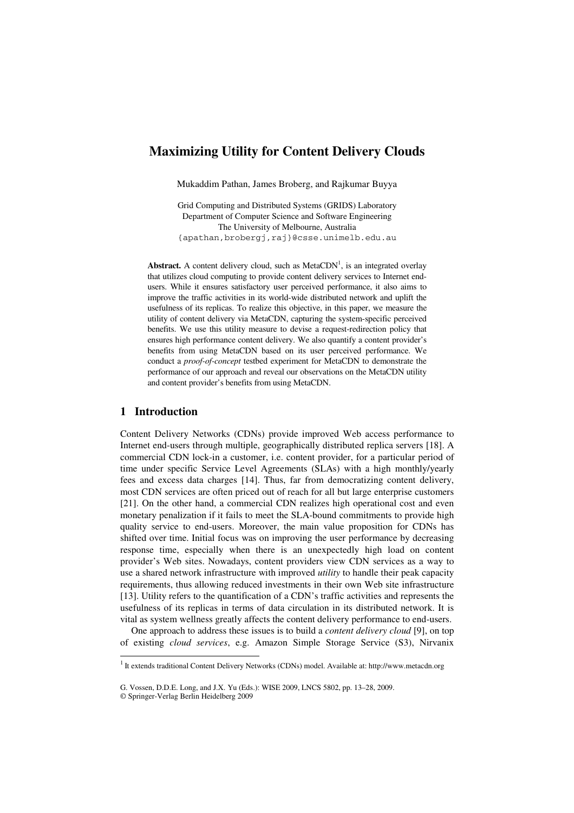# **Maximizing Utility for Content Delivery Clouds**

Mukaddim Pathan, James Broberg, and Rajkumar Buyya

Grid Computing and Distributed Systems (GRIDS) Laboratory Department of Computer Science and Software Engineering The University of Melbourne, Australia {apathan,brobergj,raj}@csse.unimelb.edu.au

**Abstract.** A content delivery cloud, such as  $MetaCDN<sup>1</sup>$ , is an integrated overlay that utilizes cloud computing to provide content delivery services to Internet endusers. While it ensures satisfactory user perceived performance, it also aims to improve the traffic activities in its world-wide distributed network and uplift the usefulness of its replicas. To realize this objective, in this paper, we measure the utility of content delivery via MetaCDN, capturing the system-specific perceived benefits. We use this utility measure to devise a request-redirection policy that ensures high performance content delivery. We also quantify a content provider's benefits from using MetaCDN based on its user perceived performance. We conduct a *proof-of-concept* testbed experiment for MetaCDN to demonstrate the performance of our approach and reveal our observations on the MetaCDN utility and content provider's benefits from using MetaCDN.

# **1 Introduction**

Content Delivery Networks (CDNs) provide improved Web access performance to Internet end-users through multiple, geographically distributed replica servers [18]. A commercial CDN lock-in a customer, i.e. content provider, for a particular period of time under specific Service Level Agreements (SLAs) with a high monthly/yearly fees and excess data charges [14]. Thus, far from democratizing content delivery, most CDN services are often priced out of reach for all but large enterprise customers [21]. On the other hand, a commercial CDN realizes high operational cost and even monetary penalization if it fails to meet the SLA-bound commitments to provide high quality service to end-users. Moreover, the main value proposition for CDNs has shifted over time. Initial focus was on improving the user performance by decreasing response time, especially when there is an unexpectedly high load on content provider's Web sites. Nowadays, content providers view CDN services as a way to use a shared network infrastructure with improved *utility* to handle their peak capacity requirements, thus allowing reduced investments in their own Web site infrastructure [13]. Utility refers to the quantification of a CDN's traffic activities and represents the usefulness of its replicas in terms of data circulation in its distributed network. It is vital as system wellness greatly affects the content delivery performance to end-users.

One approach to address these issues is to build a *content delivery cloud* [9], on top of existing *cloud services*, e.g. Amazon Simple Storage Service (S3), Nirvanix

j

 $1$  It extends traditional Content Delivery Networks (CDNs) model. Available at: http://www.metacdn.org

G. Vossen, D.D.E. Long, and J.X. Yu (Eds.): WISE 2009, LNCS 5802, pp. 13–28, 2009.

<sup>©</sup> Springer-Verlag Berlin Heidelberg 2009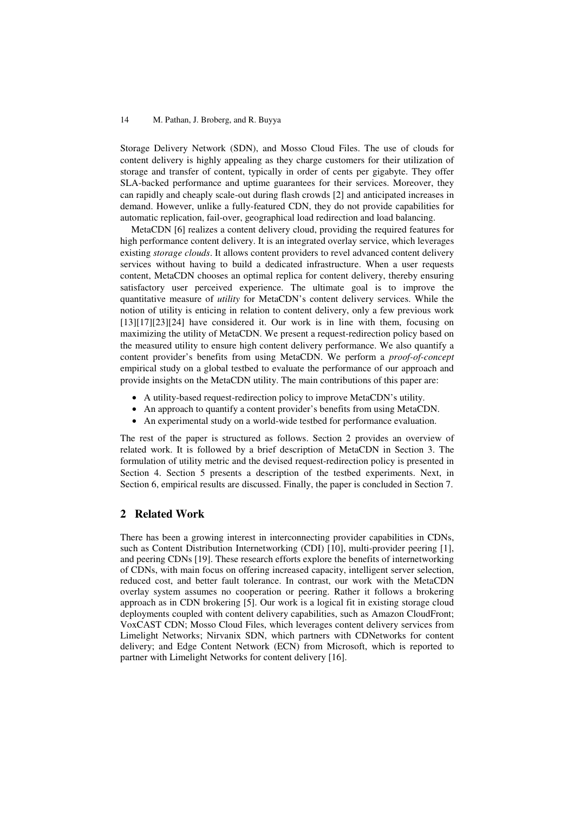Storage Delivery Network (SDN), and Mosso Cloud Files. The use of clouds for content delivery is highly appealing as they charge customers for their utilization of storage and transfer of content, typically in order of cents per gigabyte. They offer SLA-backed performance and uptime guarantees for their services. Moreover, they can rapidly and cheaply scale-out during flash crowds [2] and anticipated increases in demand. However, unlike a fully-featured CDN, they do not provide capabilities for automatic replication, fail-over, geographical load redirection and load balancing.

MetaCDN [6] realizes a content delivery cloud, providing the required features for high performance content delivery. It is an integrated overlay service, which leverages existing *storage clouds*. It allows content providers to revel advanced content delivery services without having to build a dedicated infrastructure. When a user requests content, MetaCDN chooses an optimal replica for content delivery, thereby ensuring satisfactory user perceived experience. The ultimate goal is to improve the quantitative measure of *utility* for MetaCDN's content delivery services. While the notion of utility is enticing in relation to content delivery, only a few previous work [13][17][23][24] have considered it. Our work is in line with them, focusing on maximizing the utility of MetaCDN. We present a request-redirection policy based on the measured utility to ensure high content delivery performance. We also quantify a content provider's benefits from using MetaCDN. We perform a *proof-of-concept* empirical study on a global testbed to evaluate the performance of our approach and provide insights on the MetaCDN utility. The main contributions of this paper are:

- A utility-based request-redirection policy to improve MetaCDN's utility.
- An approach to quantify a content provider's benefits from using MetaCDN.
- An experimental study on a world-wide testbed for performance evaluation.

The rest of the paper is structured as follows. Section 2 provides an overview of related work. It is followed by a brief description of MetaCDN in Section 3. The formulation of utility metric and the devised request-redirection policy is presented in Section 4. Section 5 presents a description of the testbed experiments. Next, in Section 6, empirical results are discussed. Finally, the paper is concluded in Section 7.

# **2 Related Work**

There has been a growing interest in interconnecting provider capabilities in CDNs, such as Content Distribution Internetworking (CDI) [10], multi-provider peering [1], and peering CDNs [19]. These research efforts explore the benefits of internetworking of CDNs, with main focus on offering increased capacity, intelligent server selection, reduced cost, and better fault tolerance. In contrast, our work with the MetaCDN overlay system assumes no cooperation or peering. Rather it follows a brokering approach as in CDN brokering [5]. Our work is a logical fit in existing storage cloud deployments coupled with content delivery capabilities, such as Amazon CloudFront; VoxCAST CDN; Mosso Cloud Files, which leverages content delivery services from Limelight Networks; Nirvanix SDN, which partners with CDNetworks for content delivery; and Edge Content Network (ECN) from Microsoft, which is reported to partner with Limelight Networks for content delivery [16].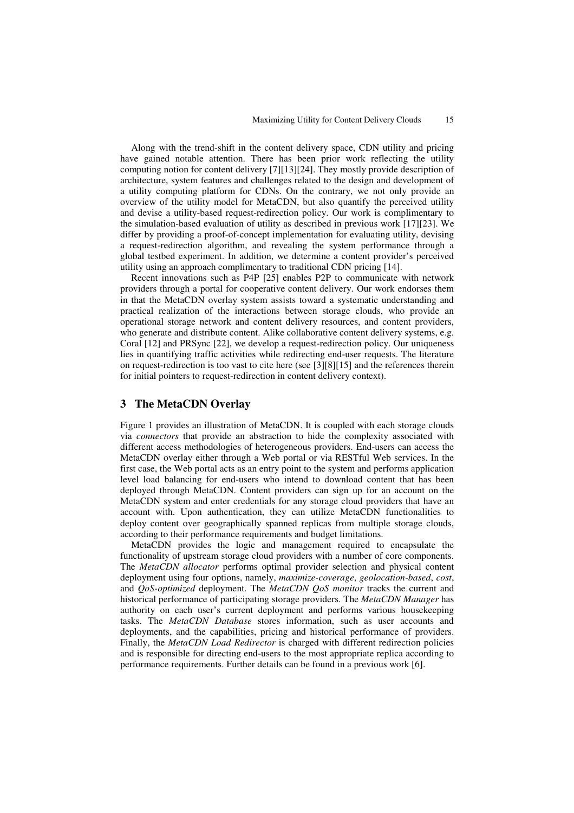Along with the trend-shift in the content delivery space, CDN utility and pricing have gained notable attention. There has been prior work reflecting the utility computing notion for content delivery [7][13][24]. They mostly provide description of architecture, system features and challenges related to the design and development of a utility computing platform for CDNs. On the contrary, we not only provide an overview of the utility model for MetaCDN, but also quantify the perceived utility and devise a utility-based request-redirection policy. Our work is complimentary to the simulation-based evaluation of utility as described in previous work [17][23]. We differ by providing a proof-of-concept implementation for evaluating utility, devising a request-redirection algorithm, and revealing the system performance through a global testbed experiment. In addition, we determine a content provider's perceived utility using an approach complimentary to traditional CDN pricing [14].

Recent innovations such as P4P [25] enables P2P to communicate with network providers through a portal for cooperative content delivery. Our work endorses them in that the MetaCDN overlay system assists toward a systematic understanding and practical realization of the interactions between storage clouds, who provide an operational storage network and content delivery resources, and content providers, who generate and distribute content. Alike collaborative content delivery systems, e.g. Coral [12] and PRSync [22], we develop a request-redirection policy. Our uniqueness lies in quantifying traffic activities while redirecting end-user requests. The literature on request-redirection is too vast to cite here (see [3][8][15] and the references therein for initial pointers to request-redirection in content delivery context).

# **3 The MetaCDN Overlay**

Figure 1 provides an illustration of MetaCDN. It is coupled with each storage clouds via *connectors* that provide an abstraction to hide the complexity associated with different access methodologies of heterogeneous providers. End-users can access the MetaCDN overlay either through a Web portal or via RESTful Web services. In the first case, the Web portal acts as an entry point to the system and performs application level load balancing for end-users who intend to download content that has been deployed through MetaCDN. Content providers can sign up for an account on the MetaCDN system and enter credentials for any storage cloud providers that have an account with. Upon authentication, they can utilize MetaCDN functionalities to deploy content over geographically spanned replicas from multiple storage clouds, according to their performance requirements and budget limitations.

MetaCDN provides the logic and management required to encapsulate the functionality of upstream storage cloud providers with a number of core components. The *MetaCDN allocator* performs optimal provider selection and physical content deployment using four options, namely, *maximize-coverage*, *geolocation-based*, *cost*, and *QoS-optimized* deployment. The *MetaCDN QoS monitor* tracks the current and historical performance of participating storage providers. The *MetaCDN Manager* has authority on each user's current deployment and performs various housekeeping tasks. The *MetaCDN Database* stores information, such as user accounts and deployments, and the capabilities, pricing and historical performance of providers. Finally, the *MetaCDN Load Redirector* is charged with different redirection policies and is responsible for directing end-users to the most appropriate replica according to performance requirements. Further details can be found in a previous work [6].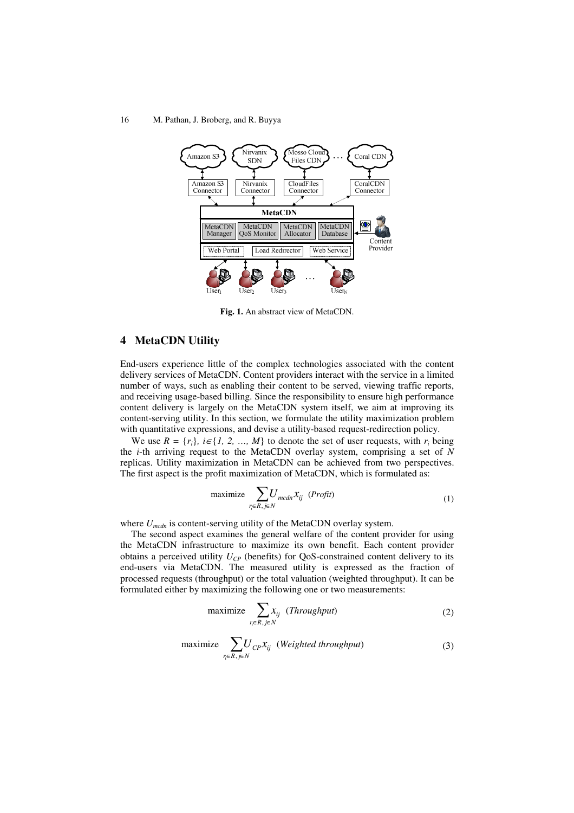

**Fig. 1.** An abstract view of MetaCDN.

# **4 MetaCDN Utility**

End-users experience little of the complex technologies associated with the content delivery services of MetaCDN. Content providers interact with the service in a limited number of ways, such as enabling their content to be served, viewing traffic reports, and receiving usage-based billing. Since the responsibility to ensure high performance content delivery is largely on the MetaCDN system itself, we aim at improving its content-serving utility. In this section, we formulate the utility maximization problem with quantitative expressions, and devise a utility-based request-redirection policy.

We use  $R = \{r_i\}$ ,  $i \in \{1, 2, ..., M\}$  to denote the set of user requests, with  $r_i$  being the *i*-th arriving request to the MetaCDN overlay system, comprising a set of *N* replicas. Utility maximization in MetaCDN can be achieved from two perspectives. The first aspect is the profit maximization of MetaCDN, which is formulated as:

$$
\text{maximize } \sum_{r_i \in R, j \in N} U_{\text{mcdn}} x_{ij} \quad (\text{Profit}) \tag{1}
$$

where  $U_{\text{modn}}$  is content-serving utility of the MetaCDN overlay system.

The second aspect examines the general welfare of the content provider for using the MetaCDN infrastructure to maximize its own benefit. Each content provider obtains a perceived utility  $U_{CP}$  (benefits) for QoS-constrained content delivery to its end-users via MetaCDN. The measured utility is expressed as the fraction of processed requests (throughput) or the total valuation (weighted throughput). It can be formulated either by maximizing the following one or two measurements:

$$
\text{maximize } \sum_{r_i \in R, j \in N} x_{ij} \quad (\text{Throughput}) \tag{2}
$$

$$
\text{maximize } \sum_{r_i \in R, j \in N} U_{CP} x_{ij} \text{ (Weighted throughput)} \tag{3}
$$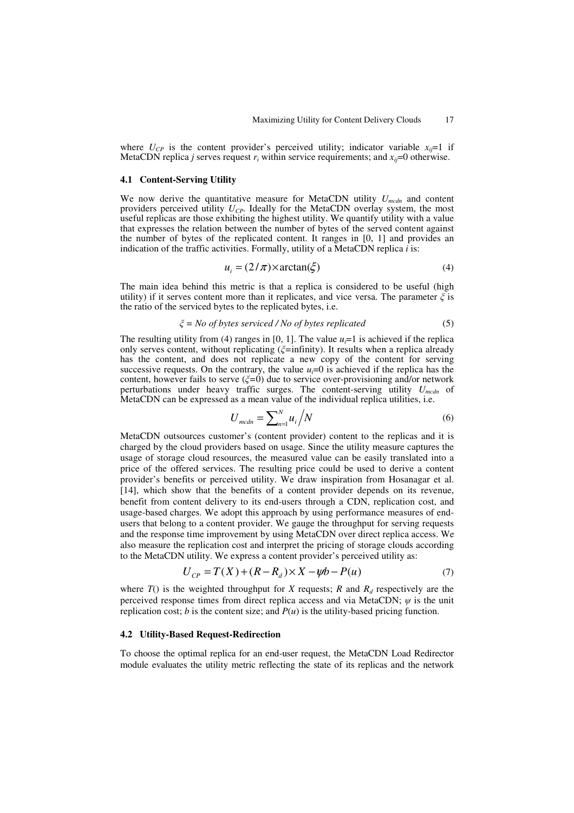where  $U_{CP}$  is the content provider's perceived utility; indicator variable  $x_{ij}=1$  if MetaCDN replica *j* serves request  $r_i$  within service requirements; and  $x_{ij}=0$  otherwise.

#### **4.1 Content-Serving Utility**

We now derive the quantitative measure for MetaCDN utility  $U_{\text{mcdn}}$  and content providers perceived utility  $U_{CP}$ . Ideally for the MetaCDN overlay system, the most useful replicas are those exhibiting the highest utility. We quantify utility with a value that expresses the relation between the number of bytes of the served content against the number of bytes of the replicated content. It ranges in [0, 1] and provides an indication of the traffic activities. Formally, utility of a MetaCDN replica *i* is:

$$
u_i = (2/\pi) \times \arctan(\xi) \tag{4}
$$

The main idea behind this metric is that a replica is considered to be useful (high utility) if it serves content more than it replicates, and vice versa. The parameter *ξ* is the ratio of the serviced bytes to the replicated bytes, i.e.

$$
\xi = No \ of \ bytes \ service \ d / No \ of \ bytes \ replicated \tag{5}
$$

The resulting utility from (4) ranges in [0, 1]. The value  $u_i=1$  is achieved if the replica only serves content, without replicating (*ξ=*infinity). It results when a replica already has the content, and does not replicate a new copy of the content for serving successive requests. On the contrary, the value  $u_i=0$  is achieved if the replica has the content, however fails to serve (*ξ=*0) due to service over-provisioning and/or network perturbations under heavy traffic surges. The content-serving utility *Umcdn* of MetaCDN can be expressed as a mean value of the individual replica utilities, i.e.

$$
U_{\text{mcdn}} = \sum_{n=1}^{N} u_i / N \tag{6}
$$

MetaCDN outsources customer's (content provider) content to the replicas and it is charged by the cloud providers based on usage. Since the utility measure captures the usage of storage cloud resources, the measured value can be easily translated into a price of the offered services. The resulting price could be used to derive a content provider's benefits or perceived utility. We draw inspiration from Hosanagar et al. [14], which show that the benefits of a content provider depends on its revenue, benefit from content delivery to its end-users through a CDN, replication cost, and usage-based charges. We adopt this approach by using performance measures of endusers that belong to a content provider. We gauge the throughput for serving requests and the response time improvement by using MetaCDN over direct replica access. We also measure the replication cost and interpret the pricing of storage clouds according to the MetaCDN utility. We express a content provider's perceived utility as:

$$
U_{\scriptscriptstyle CP} = T(X) + (R - R_d) \times X - \psi b - P(u) \tag{7}
$$

where  $T()$  is the weighted throughput for *X* requests; *R* and  $R_d$  respectively are the perceived response times from direct replica access and via MetaCDN;  $\psi$  is the unit replication cost; *b* is the content size; and  $P(u)$  is the utility-based pricing function.

#### **4.2 Utility-Based Request-Redirection**

To choose the optimal replica for an end-user request, the MetaCDN Load Redirector module evaluates the utility metric reflecting the state of its replicas and the network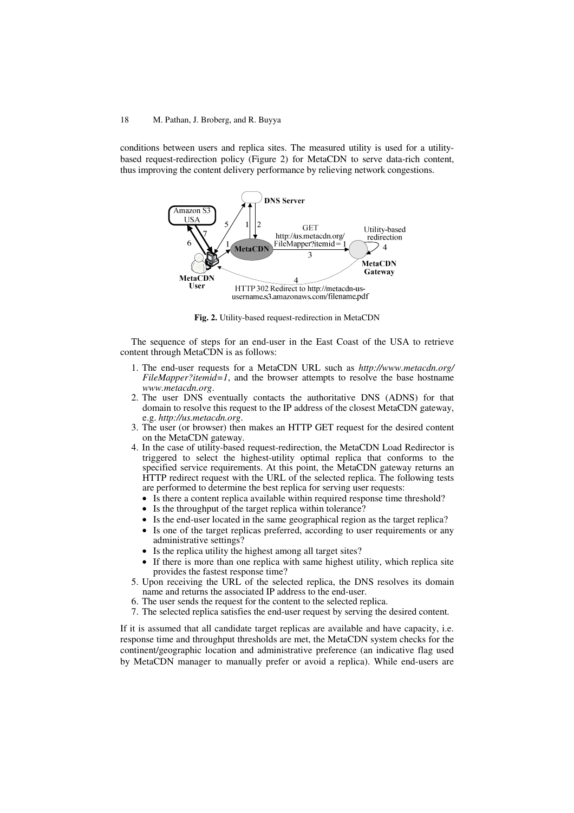conditions between users and replica sites. The measured utility is used for a utilitybased request-redirection policy (Figure 2) for MetaCDN to serve data-rich content, thus improving the content delivery performance by relieving network congestions.



**Fig. 2.** Utility-based request-redirection in MetaCDN

The sequence of steps for an end-user in the East Coast of the USA to retrieve content through MetaCDN is as follows:

- 1. The end-user requests for a MetaCDN URL such as *http://www.metacdn.org/ FileMapper?itemid=1*, and the browser attempts to resolve the base hostname *www.metacdn.org*.
- 2. The user DNS eventually contacts the authoritative DNS (ADNS) for that domain to resolve this request to the IP address of the closest MetaCDN gateway, e.g. *http://us.metacdn.org*.
- 3. The user (or browser) then makes an HTTP GET request for the desired content on the MetaCDN gateway.
- 4. In the case of utility-based request-redirection, the MetaCDN Load Redirector is triggered to select the highest-utility optimal replica that conforms to the specified service requirements. At this point, the MetaCDN gateway returns an HTTP redirect request with the URL of the selected replica. The following tests are performed to determine the best replica for serving user requests:
	- Is there a content replica available within required response time threshold?
	- Is the throughput of the target replica within tolerance?
	- Is the end-user located in the same geographical region as the target replica?
	- Is one of the target replicas preferred, according to user requirements or any administrative settings?
	- Is the replica utility the highest among all target sites?
	- If there is more than one replica with same highest utility, which replica site provides the fastest response time?
- 5. Upon receiving the URL of the selected replica, the DNS resolves its domain name and returns the associated IP address to the end-user.
- 6. The user sends the request for the content to the selected replica.
- 7. The selected replica satisfies the end-user request by serving the desired content.

If it is assumed that all candidate target replicas are available and have capacity, i.e. response time and throughput thresholds are met, the MetaCDN system checks for the continent/geographic location and administrative preference (an indicative flag used by MetaCDN manager to manually prefer or avoid a replica). While end-users are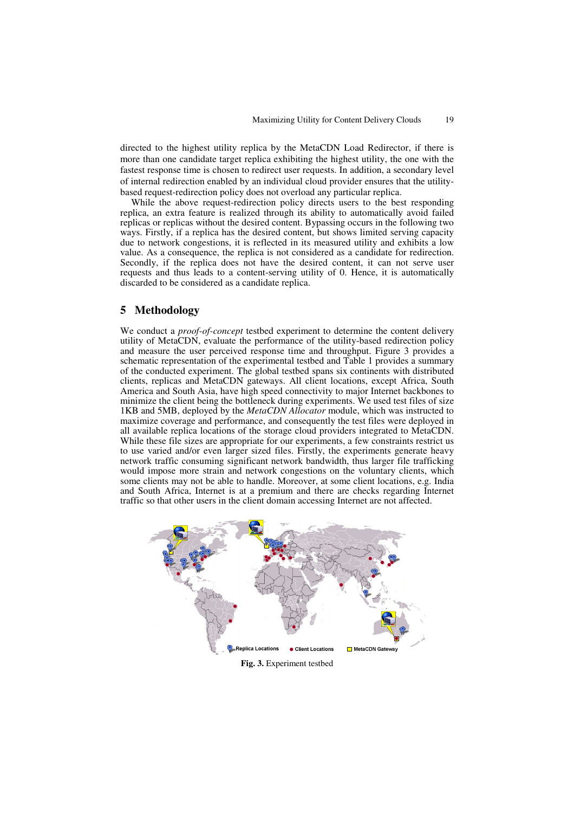directed to the highest utility replica by the MetaCDN Load Redirector, if there is more than one candidate target replica exhibiting the highest utility, the one with the fastest response time is chosen to redirect user requests. In addition, a secondary level of internal redirection enabled by an individual cloud provider ensures that the utilitybased request-redirection policy does not overload any particular replica.

While the above request-redirection policy directs users to the best responding replica, an extra feature is realized through its ability to automatically avoid failed replicas or replicas without the desired content. Bypassing occurs in the following two ways. Firstly, if a replica has the desired content, but shows limited serving capacity due to network congestions, it is reflected in its measured utility and exhibits a low value. As a consequence, the replica is not considered as a candidate for redirection. Secondly, if the replica does not have the desired content, it can not serve user requests and thus leads to a content-serving utility of 0. Hence, it is automatically discarded to be considered as a candidate replica.

### **5 Methodology**

We conduct a *proof-of-concept* testbed experiment to determine the content delivery utility of MetaCDN, evaluate the performance of the utility-based redirection policy and measure the user perceived response time and throughput. Figure 3 provides a schematic representation of the experimental testbed and Table 1 provides a summary of the conducted experiment. The global testbed spans six continents with distributed clients, replicas and MetaCDN gateways. All client locations, except Africa, South America and South Asia, have high speed connectivity to major Internet backbones to minimize the client being the bottleneck during experiments. We used test files of size 1KB and 5MB, deployed by the *MetaCDN Allocator* module, which was instructed to maximize coverage and performance, and consequently the test files were deployed in all available replica locations of the storage cloud providers integrated to MetaCDN. While these file sizes are appropriate for our experiments, a few constraints restrict us to use varied and/or even larger sized files. Firstly, the experiments generate heavy network traffic consuming significant network bandwidth, thus larger file trafficking would impose more strain and network congestions on the voluntary clients, which some clients may not be able to handle. Moreover, at some client locations, e.g. India and South Africa, Internet is at a premium and there are checks regarding Internet traffic so that other users in the client domain accessing Internet are not affected.



**Fig. 3.** Experiment testbed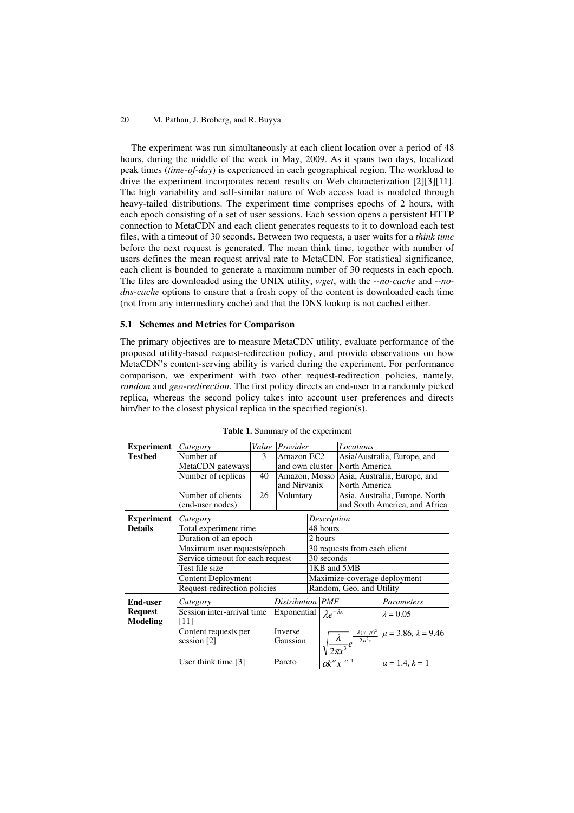The experiment was run simultaneously at each client location over a period of 48 hours, during the middle of the week in May, 2009. As it spans two days, localized peak times (*time-of-day*) is experienced in each geographical region. The workload to drive the experiment incorporates recent results on Web characterization [2][3][11]. The high variability and self-similar nature of Web access load is modeled through heavy-tailed distributions. The experiment time comprises epochs of 2 hours, with each epoch consisting of a set of user sessions. Each session opens a persistent HTTP connection to MetaCDN and each client generates requests to it to download each test files, with a timeout of 30 seconds. Between two requests, a user waits for a *think time* before the next request is generated. The mean think time, together with number of users defines the mean request arrival rate to MetaCDN. For statistical significance, each client is bounded to generate a maximum number of 30 requests in each epoch. The files are downloaded using the UNIX utility, *wget*, with the *--no-cache* and *--nodns-cache* options to ensure that a fresh copy of the content is downloaded each time (not from any intermediary cache) and that the DNS lookup is not cached either.

#### **5.1 Schemes and Metrics for Comparison**

The primary objectives are to measure MetaCDN utility, evaluate performance of the proposed utility-based request-redirection policy, and provide observations on how MetaCDN's content-serving ability is varied during the experiment. For performance comparison, we experiment with two other request-redirection policies, namely, *random* and *geo-redirection*. The first policy directs an end-user to a randomly picked replica, whereas the second policy takes into account user preferences and directs him/her to the closest physical replica in the specified region(s).

| <b>Experiment</b> | Category                         |             | Value Provider   |                              | Locations                                                                                          |                       |  |
|-------------------|----------------------------------|-------------|------------------|------------------------------|----------------------------------------------------------------------------------------------------|-----------------------|--|
| <b>Testbed</b>    | Number of                        | 3           | Amazon EC2       |                              | Asia/Australia, Europe, and                                                                        |                       |  |
|                   | MetaCDN gateways                 |             | and own cluster  |                              | North America                                                                                      |                       |  |
|                   | Number of replicas               | 40          |                  |                              | Amazon, Mosso Asia, Australia, Europe, and                                                         |                       |  |
|                   |                                  |             | and Nirvanix     |                              | North America                                                                                      |                       |  |
|                   | Number of clients                | 26          | Voluntary        |                              | Asia, Australia, Europe, North                                                                     |                       |  |
|                   | (end-user nodes)                 |             |                  |                              | and South America, and Africa                                                                      |                       |  |
| <b>Experiment</b> | Category                         |             |                  |                              | Description                                                                                        |                       |  |
| <b>Details</b>    | Total experiment time            |             |                  |                              | 48 hours                                                                                           |                       |  |
|                   | Duration of an epoch             |             |                  | 2 hours                      |                                                                                                    |                       |  |
|                   | Maximum user requests/epoch      |             |                  | 30 requests from each client |                                                                                                    |                       |  |
|                   | Service timeout for each request |             |                  | 30 seconds                   |                                                                                                    |                       |  |
|                   | Test file size                   |             |                  | 1KB and 5MB                  |                                                                                                    |                       |  |
|                   | Content Deployment               |             |                  | Maximize-coverage deployment |                                                                                                    |                       |  |
|                   | Request-redirection policies     |             |                  | Random, Geo, and Utility     |                                                                                                    |                       |  |
| <b>End-user</b>   | Category                         |             | Distribution PMF |                              |                                                                                                    | Parameters            |  |
| <b>Request</b>    | Session inter-arrival time       | Exponential |                  | $\lambda e^{-\lambda x}$     |                                                                                                    | $\lambda = 0.05$      |  |
| <b>Modeling</b>   | [11]                             |             |                  |                              |                                                                                                    |                       |  |
|                   | Content requests per             |             | Inverse          |                              |                                                                                                    |                       |  |
|                   | session [2]                      |             | Gaussian         |                              |                                                                                                    |                       |  |
|                   |                                  |             |                  |                              | $\sqrt{\frac{\lambda}{2\pi x^3}}e^{-\frac{\lambda(x-\mu)^2}{2\mu^2 x}} \mu = 3.86, \lambda = 9.46$ |                       |  |
|                   | User think time [3]              |             | Pareto           |                              | $\alpha k^{\alpha} x^{-\alpha-1}$                                                                  | $\alpha = 1.4, k = 1$ |  |

**Table 1.** Summary of the experiment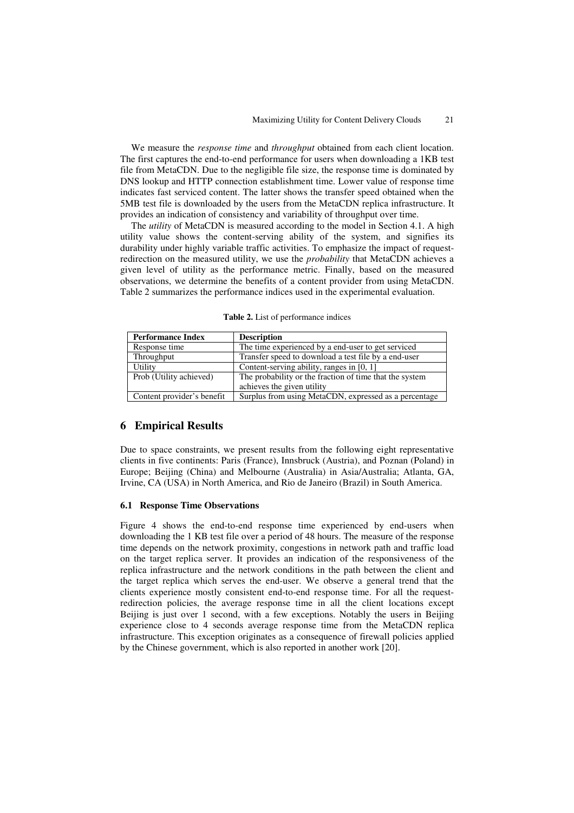We measure the *response time* and *throughput* obtained from each client location. The first captures the end-to-end performance for users when downloading a 1KB test file from MetaCDN. Due to the negligible file size, the response time is dominated by DNS lookup and HTTP connection establishment time. Lower value of response time indicates fast serviced content. The latter shows the transfer speed obtained when the 5MB test file is downloaded by the users from the MetaCDN replica infrastructure. It provides an indication of consistency and variability of throughput over time.

The *utility* of MetaCDN is measured according to the model in Section 4.1. A high utility value shows the content-serving ability of the system, and signifies its durability under highly variable traffic activities. To emphasize the impact of requestredirection on the measured utility, we use the *probability* that MetaCDN achieves a given level of utility as the performance metric. Finally, based on the measured observations, we determine the benefits of a content provider from using MetaCDN. Table 2 summarizes the performance indices used in the experimental evaluation.

| <b>Performance Index</b>   | <b>Description</b>                                      |
|----------------------------|---------------------------------------------------------|
| Response time              | The time experienced by a end-user to get serviced      |
| Throughput                 | Transfer speed to download a test file by a end-user    |
| Utility                    | Content-serving ability, ranges in [0, 1]               |
| Prob (Utility achieved)    | The probability or the fraction of time that the system |
|                            | achieves the given utility                              |
| Content provider's benefit | Surplus from using MetaCDN, expressed as a percentage   |

**Table 2.** List of performance indices

### **6 Empirical Results**

Due to space constraints, we present results from the following eight representative clients in five continents: Paris (France), Innsbruck (Austria), and Poznan (Poland) in Europe; Beijing (China) and Melbourne (Australia) in Asia/Australia; Atlanta, GA, Irvine, CA (USA) in North America, and Rio de Janeiro (Brazil) in South America.

### **6.1 Response Time Observations**

Figure 4 shows the end-to-end response time experienced by end-users when downloading the 1 KB test file over a period of 48 hours. The measure of the response time depends on the network proximity, congestions in network path and traffic load on the target replica server. It provides an indication of the responsiveness of the replica infrastructure and the network conditions in the path between the client and the target replica which serves the end-user. We observe a general trend that the clients experience mostly consistent end-to-end response time. For all the requestredirection policies, the average response time in all the client locations except Beijing is just over 1 second, with a few exceptions. Notably the users in Beijing experience close to 4 seconds average response time from the MetaCDN replica infrastructure. This exception originates as a consequence of firewall policies applied by the Chinese government, which is also reported in another work [20].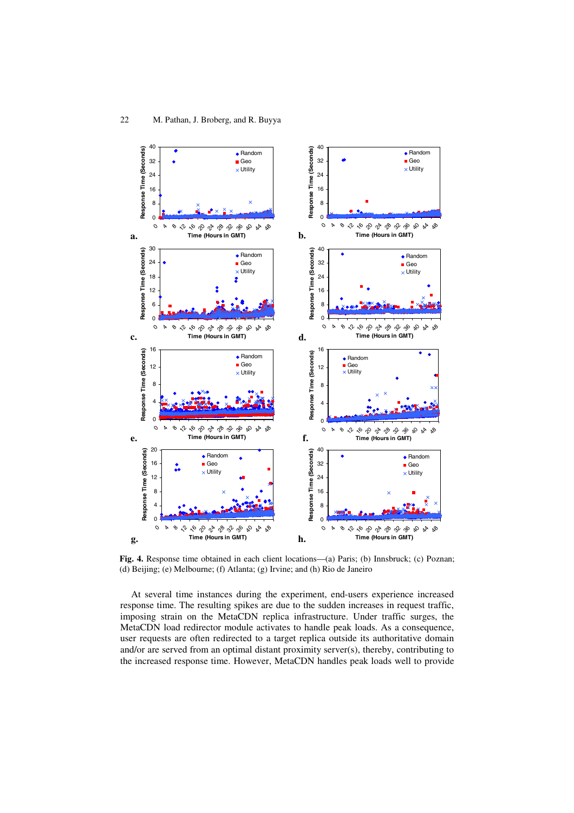

**Fig. 4.** Response time obtained in each client locations—(a) Paris; (b) Innsbruck; (c) Poznan; (d) Beijing; (e) Melbourne; (f) Atlanta; (g) Irvine; and (h) Rio de Janeiro

At several time instances during the experiment, end-users experience increased response time. The resulting spikes are due to the sudden increases in request traffic, imposing strain on the MetaCDN replica infrastructure. Under traffic surges, the MetaCDN load redirector module activates to handle peak loads. As a consequence, user requests are often redirected to a target replica outside its authoritative domain and/or are served from an optimal distant proximity server(s), thereby, contributing to the increased response time. However, MetaCDN handles peak loads well to provide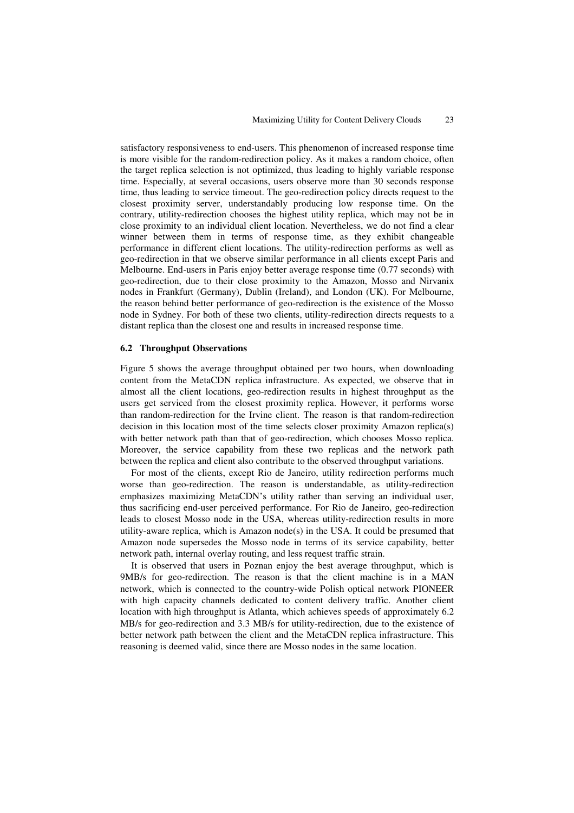satisfactory responsiveness to end-users. This phenomenon of increased response time is more visible for the random-redirection policy. As it makes a random choice, often the target replica selection is not optimized, thus leading to highly variable response time. Especially, at several occasions, users observe more than 30 seconds response time, thus leading to service timeout. The geo-redirection policy directs request to the closest proximity server, understandably producing low response time. On the contrary, utility-redirection chooses the highest utility replica, which may not be in close proximity to an individual client location. Nevertheless, we do not find a clear winner between them in terms of response time, as they exhibit changeable performance in different client locations. The utility-redirection performs as well as geo-redirection in that we observe similar performance in all clients except Paris and Melbourne. End-users in Paris enjoy better average response time (0.77 seconds) with geo-redirection, due to their close proximity to the Amazon, Mosso and Nirvanix nodes in Frankfurt (Germany), Dublin (Ireland), and London (UK). For Melbourne, the reason behind better performance of geo-redirection is the existence of the Mosso node in Sydney. For both of these two clients, utility-redirection directs requests to a distant replica than the closest one and results in increased response time.

#### **6.2 Throughput Observations**

Figure 5 shows the average throughput obtained per two hours, when downloading content from the MetaCDN replica infrastructure. As expected, we observe that in almost all the client locations, geo-redirection results in highest throughput as the users get serviced from the closest proximity replica. However, it performs worse than random-redirection for the Irvine client. The reason is that random-redirection decision in this location most of the time selects closer proximity Amazon replica(s) with better network path than that of geo-redirection, which chooses Mosso replica. Moreover, the service capability from these two replicas and the network path between the replica and client also contribute to the observed throughput variations.

For most of the clients, except Rio de Janeiro, utility redirection performs much worse than geo-redirection. The reason is understandable, as utility-redirection emphasizes maximizing MetaCDN's utility rather than serving an individual user, thus sacrificing end-user perceived performance. For Rio de Janeiro, geo-redirection leads to closest Mosso node in the USA, whereas utility-redirection results in more utility-aware replica, which is Amazon node(s) in the USA. It could be presumed that Amazon node supersedes the Mosso node in terms of its service capability, better network path, internal overlay routing, and less request traffic strain.

It is observed that users in Poznan enjoy the best average throughput, which is 9MB/s for geo-redirection. The reason is that the client machine is in a MAN network, which is connected to the country-wide Polish optical network PIONEER with high capacity channels dedicated to content delivery traffic. Another client location with high throughput is Atlanta, which achieves speeds of approximately 6.2 MB/s for geo-redirection and 3.3 MB/s for utility-redirection, due to the existence of better network path between the client and the MetaCDN replica infrastructure. This reasoning is deemed valid, since there are Mosso nodes in the same location.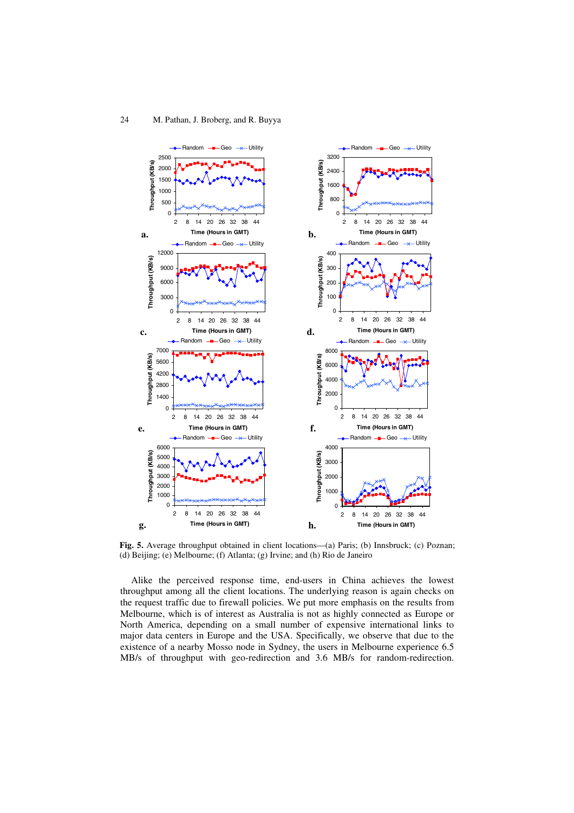



**Fig. 5.** Average throughput obtained in client locations—(a) Paris; (b) Innsbruck; (c) Poznan; (d) Beijing; (e) Melbourne; (f) Atlanta; (g) Irvine; and (h) Rio de Janeiro

Alike the perceived response time, end-users in China achieves the lowest throughput among all the client locations. The underlying reason is again checks on the request traffic due to firewall policies. We put more emphasis on the results from Melbourne, which is of interest as Australia is not as highly connected as Europe or North America, depending on a small number of expensive international links to major data centers in Europe and the USA. Specifically, we observe that due to the existence of a nearby Mosso node in Sydney, the users in Melbourne experience 6.5 MB/s of throughput with geo-redirection and 3.6 MB/s for random-redirection.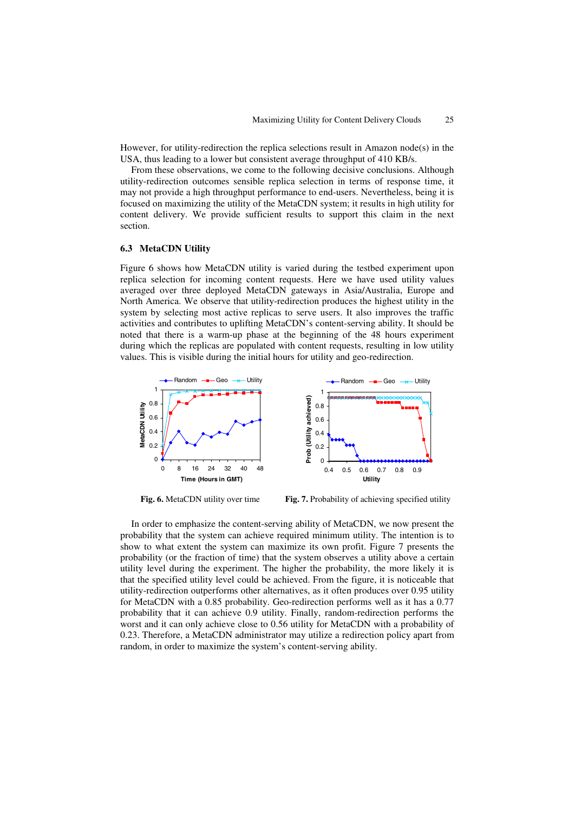However, for utility-redirection the replica selections result in Amazon node(s) in the USA, thus leading to a lower but consistent average throughput of 410 KB/s.

From these observations, we come to the following decisive conclusions. Although utility-redirection outcomes sensible replica selection in terms of response time, it may not provide a high throughput performance to end-users. Nevertheless, being it is focused on maximizing the utility of the MetaCDN system; it results in high utility for content delivery. We provide sufficient results to support this claim in the next section.

#### **6.3 MetaCDN Utility**

Figure 6 shows how MetaCDN utility is varied during the testbed experiment upon replica selection for incoming content requests. Here we have used utility values averaged over three deployed MetaCDN gateways in Asia/Australia, Europe and North America. We observe that utility-redirection produces the highest utility in the system by selecting most active replicas to serve users. It also improves the traffic activities and contributes to uplifting MetaCDN's content-serving ability. It should be noted that there is a warm-up phase at the beginning of the 48 hours experiment during which the replicas are populated with content requests, resulting in low utility values. This is visible during the initial hours for utility and geo-redirection.



**Fig. 6.** MetaCDN utility over time **Fig. 7.** Probability of achieving specified utility

In order to emphasize the content-serving ability of MetaCDN, we now present the probability that the system can achieve required minimum utility. The intention is to show to what extent the system can maximize its own profit. Figure 7 presents the probability (or the fraction of time) that the system observes a utility above a certain utility level during the experiment. The higher the probability, the more likely it is that the specified utility level could be achieved. From the figure, it is noticeable that utility-redirection outperforms other alternatives, as it often produces over 0.95 utility for MetaCDN with a 0.85 probability. Geo-redirection performs well as it has a 0.77 probability that it can achieve 0.9 utility. Finally, random-redirection performs the worst and it can only achieve close to 0.56 utility for MetaCDN with a probability of 0.23. Therefore, a MetaCDN administrator may utilize a redirection policy apart from random, in order to maximize the system's content-serving ability.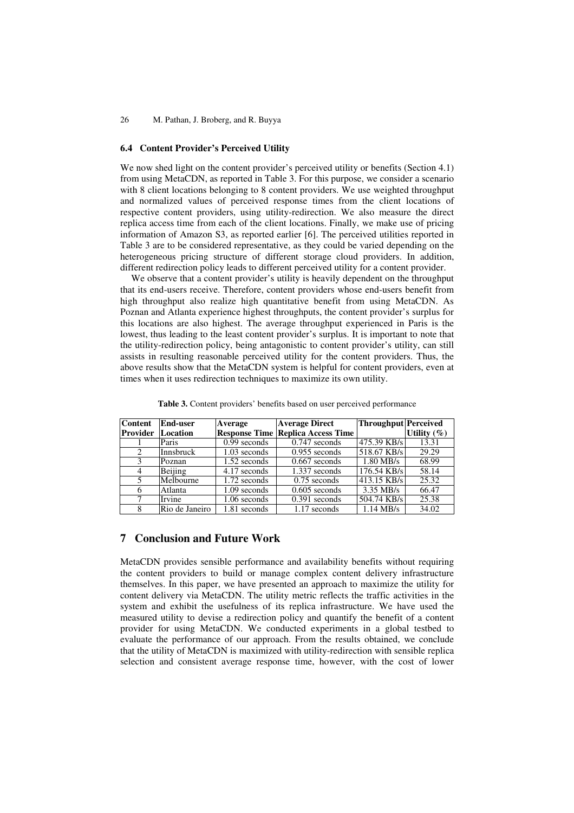#### **6.4 Content Provider's Perceived Utility**

We now shed light on the content provider's perceived utility or benefits (Section 4.1) from using MetaCDN, as reported in Table 3. For this purpose, we consider a scenario with 8 client locations belonging to 8 content providers. We use weighted throughput and normalized values of perceived response times from the client locations of respective content providers, using utility-redirection. We also measure the direct replica access time from each of the client locations. Finally, we make use of pricing information of Amazon S3, as reported earlier [6]. The perceived utilities reported in Table 3 are to be considered representative, as they could be varied depending on the heterogeneous pricing structure of different storage cloud providers. In addition, different redirection policy leads to different perceived utility for a content provider.

We observe that a content provider's utility is heavily dependent on the throughput that its end-users receive. Therefore, content providers whose end-users benefit from high throughput also realize high quantitative benefit from using MetaCDN. As Poznan and Atlanta experience highest throughputs, the content provider's surplus for this locations are also highest. The average throughput experienced in Paris is the lowest, thus leading to the least content provider's surplus. It is important to note that the utility-redirection policy, being antagonistic to content provider's utility, can still assists in resulting reasonable perceived utility for the content providers. Thus, the above results show that the MetaCDN system is helpful for content providers, even at times when it uses redirection techniques to maximize its own utility.

| Content         | End-user       | Average        | <b>Average Direct</b>                    | Throughput Perceived |                 |
|-----------------|----------------|----------------|------------------------------------------|----------------------|-----------------|
| <b>Provider</b> | Location       |                | <b>Response Time Replica Access Time</b> |                      | Utility $(\% )$ |
|                 | Paris          | $0.99$ seconds | $0.747$ seconds                          | $475.39$ KB/s        | 13.31           |
| 2               | Innsbruck      | 1.03 seconds   | $0.955$ seconds                          | 518.67 KB/s          | 29.29           |
| 3               | Poznan         | 1.52 seconds   | $0.667$ seconds                          | $1.80$ MB/s          | 68.99           |
| 4               | Beijing        | 4.17 seconds   | 1.337 seconds                            | $176.54$ KB/s        | 58.14           |
| 5               | Melbourne      | 1.72 seconds   | $0.75$ seconds                           | $413.15$ KB/s        | 25.32           |
| 6               | Atlanta        | 1.09 seconds   | $0.605$ seconds                          | $3.35$ MB/s          | 66.47           |
| 7               | <b>Irvine</b>  | 1.06 seconds   | $0.391$ seconds                          | 504.74 KB/s          | 25.38           |
| 8               | Rio de Janeiro | 1.81 seconds   | 1.17 seconds                             | $1.14$ MB/s          | 34.02           |

**Table 3.** Content providers' benefits based on user perceived performance

# **7 Conclusion and Future Work**

MetaCDN provides sensible performance and availability benefits without requiring the content providers to build or manage complex content delivery infrastructure themselves. In this paper, we have presented an approach to maximize the utility for content delivery via MetaCDN. The utility metric reflects the traffic activities in the system and exhibit the usefulness of its replica infrastructure. We have used the measured utility to devise a redirection policy and quantify the benefit of a content provider for using MetaCDN. We conducted experiments in a global testbed to evaluate the performance of our approach. From the results obtained, we conclude that the utility of MetaCDN is maximized with utility-redirection with sensible replica selection and consistent average response time, however, with the cost of lower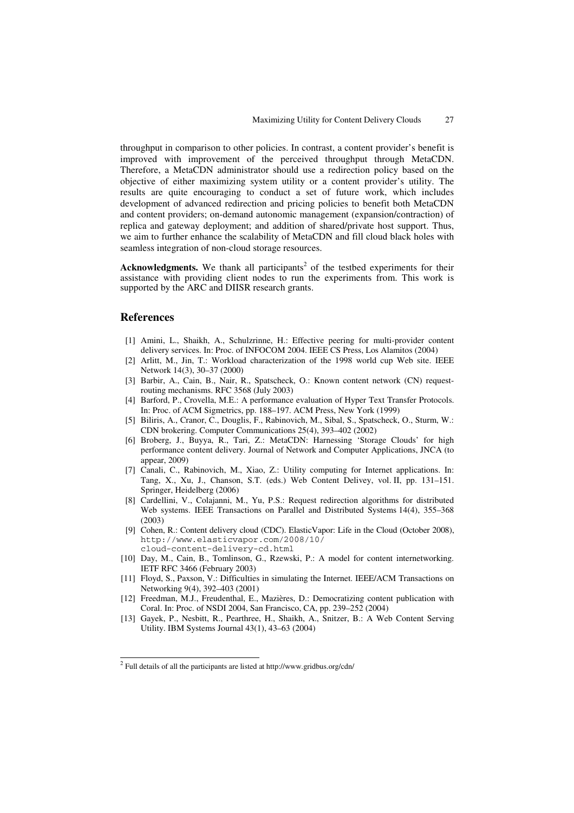throughput in comparison to other policies. In contrast, a content provider's benefit is improved with improvement of the perceived throughput through MetaCDN. Therefore, a MetaCDN administrator should use a redirection policy based on the objective of either maximizing system utility or a content provider's utility. The results are quite encouraging to conduct a set of future work, which includes development of advanced redirection and pricing policies to benefit both MetaCDN and content providers; on-demand autonomic management (expansion/contraction) of replica and gateway deployment; and addition of shared/private host support. Thus, we aim to further enhance the scalability of MetaCDN and fill cloud black holes with seamless integration of non-cloud storage resources.

Acknowledgments. We thank all participants<sup>2</sup> of the testbed experiments for their assistance with providing client nodes to run the experiments from. This work is supported by the ARC and DIISR research grants.

# **References**

- [1] Amini, L., Shaikh, A., Schulzrinne, H.: Effective peering for multi-provider content delivery services. In: Proc. of INFOCOM 2004. IEEE CS Press, Los Alamitos (2004)
- [2] Arlitt, M., Jin, T.: Workload characterization of the 1998 world cup Web site. IEEE Network 14(3), 30–37 (2000)
- [3] Barbir, A., Cain, B., Nair, R., Spatscheck, O.: Known content network (CN) requestrouting mechanisms. RFC 3568 (July 2003)
- [4] Barford, P., Crovella, M.E.: A performance evaluation of Hyper Text Transfer Protocols. In: Proc. of ACM Sigmetrics, pp. 188–197. ACM Press, New York (1999)
- [5] Biliris, A., Cranor, C., Douglis, F., Rabinovich, M., Sibal, S., Spatscheck, O., Sturm, W.: CDN brokering. Computer Communications 25(4), 393–402 (2002)
- [6] Broberg, J., Buyya, R., Tari, Z.: MetaCDN: Harnessing 'Storage Clouds' for high performance content delivery. Journal of Network and Computer Applications, JNCA (to appear, 2009)
- [7] Canali, C., Rabinovich, M., Xiao, Z.: Utility computing for Internet applications. In: Tang, X., Xu, J., Chanson, S.T. (eds.) Web Content Delivey, vol. II, pp. 131–151. Springer, Heidelberg (2006)
- [8] Cardellini, V., Colajanni, M., Yu, P.S.: Request redirection algorithms for distributed Web systems. IEEE Transactions on Parallel and Distributed Systems 14(4), 355–368 (2003)
- [9] Cohen, R.: Content delivery cloud (CDC). ElasticVapor: Life in the Cloud (October 2008), http://www.elasticvapor.com/2008/10/ cloud-content-delivery-cd.html
- [10] Day, M., Cain, B., Tomlinson, G., Rzewski, P.: A model for content internetworking. IETF RFC 3466 (February 2003)
- [11] Floyd, S., Paxson, V.: Difficulties in simulating the Internet. IEEE/ACM Transactions on Networking 9(4), 392–403 (2001)
- [12] Freedman, M.J., Freudenthal, E., Mazières, D.: Democratizing content publication with Coral. In: Proc. of NSDI 2004, San Francisco, CA, pp. 239–252 (2004)
- [13] Gayek, P., Nesbitt, R., Pearthree, H., Shaikh, A., Snitzer, B.: A Web Content Serving Utility. IBM Systems Journal 43(1), 43–63 (2004)

<sup>&</sup>lt;sup>2</sup><br>Full details of all the participants are listed at http://www.gridbus.org/cdn/